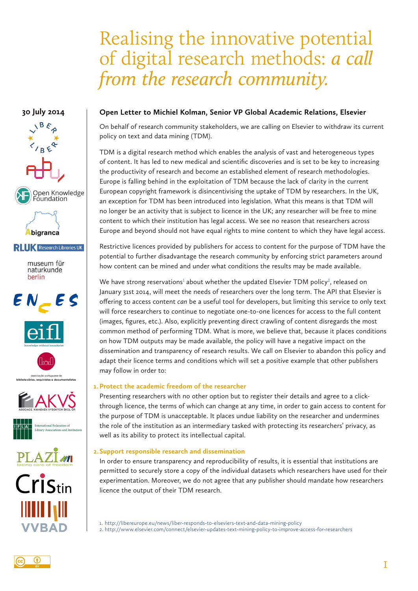# Realising the innovative potential of digital research methods: *a call from the research community.*

# **30 July 2014**



## **Open Letter to Michiel Kolman, Senior VP Global Academic Relations, Elsevier**

On behalf of research community stakeholders, we are calling on Elsevier to withdraw its current policy on text and data mining (TDM).

TDM is a digital research method which enables the analysis of vast and heterogeneous types of content. It has led to new medical and scientific discoveries and is set to be key to increasing the productivity of research and become an established element of research methodologies. Europe is falling behind in the exploitation of TDM because the lack of clarity in the current European copyright framework is disincentivising the uptake of TDM by researchers. In the UK, an exception for TDM has been introduced into legislation. What this means is that TDM will no longer be an activity that is subject to licence in the UK; any researcher will be free to mine content to which their institution has legal access. We see no reason that researchers across Europe and beyond should not have equal rights to mine content to which they have legal access.

Restrictive licences provided by publishers for access to content for the purpose of TDM have the potential to further disadvantage the research community by enforcing strict parameters around how content can be mined and under what conditions the results may be made available.

We have strong reservations<sup>1</sup> about whether the updated Elsevier TDM policy<sup>2</sup>, released on January 31st 2014, will meet the needs of researchers over the long term. The API that Elsevier is offering to access content *can* be a useful tool for developers, but limiting this service to only text will force researchers to continue to negotiate one-to-one licences for access to the full content (images, figures, etc.). Also, explicitly preventing direct crawling of content disregards the most common method of performing TDM. What is more, we believe that, because it places conditions on how TDM outputs may be made available, the policy will have a negative impact on the dissemination and transparency of research results. We call on Elsevier to abandon this policy and adapt their licence terms and conditions which will set a positive example that other publishers may follow in order to:

## **1.Protect the academic freedom of the researcher**

Presenting researchers with no other option but to register their details and agree to a clickthrough licence, the terms of which can change at any time, in order to gain access to content for the purpose of TDM is unacceptable. It places undue liability on the researcher and undermines the role of the institution as an intermediary tasked with protecting its researchers' privacy, as well as its ability to protect its intellectual capital.

## **2.Support responsible research and dissemination**

In order to ensure transparency and reproducibility of results, it is essential that institutions are permitted to securely store a copy of the individual datasets which researchers have used for their experimentation. Moreover, we do not agree that any publisher should mandate how researchers licence the output of their TDM research.

1. http://libereurope.eu/news/liber-responds-to-elseviers-text-and-data-mining-policy 2. http://www.elsevier.com/connect/elsevier-updates-text-mining-policy-to-improve-access-for-researchers



111 111 1**2** 11

**VVBAD**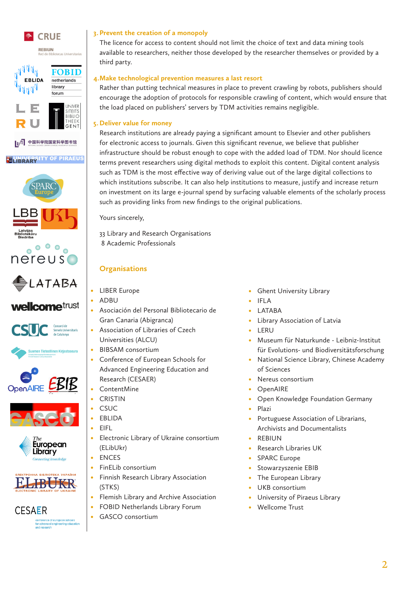

**CESAER** 

onterence of european scho<br>or advanced engineering edu<br>nd research

## **3. Prevent the creation of a monopoly**

The licence for access to content should not limit the choice of text and data mining tools available to researchers, neither those developed by the researcher themselves or provided by a third party.

### **4.Make technological prevention measures a last resort**

Rather than putting technical measures in place to prevent crawling by robots, publishers should encourage the adoption of protocols for responsible crawling of content, which would ensure that the load placed on publishers' servers by TDM activities remains negligible.

### **5. Deliver value for money**

Research institutions are already paying a significant amount to Elsevier and other publishers for electronic access to journals. Given this significant revenue, we believe that publisher infrastructure should be robust enough to cope with the added load of TDM. Nor should licence terms prevent researchers using digital methods to exploit this content. Digital content analysis such as TDM is the most effective way of deriving value out of the large digital collections to which institutions subscribe. It can also help institutions to measure, justify and increase return on investment on its large e-journal spend by surfacing valuable elements of the scholarly process such as providing links from new findings to the original publications.

Yours sincerely,

33 Library and Research Organisations 8 Academic Professionals

## **Organisations**

- **LIBER Europe**
- • ADBU
- • Asociación del Personal Bibliotecario de Gran Canaria (Abigranca)
- Association of Libraries of Czech Universities (ALCU)
- • BIBSAM consortium
- • Conference of European Schools for Advanced Engineering Education and Research (CESAER)
- • ContentMine
- • CRISTIN
- 
- 
- • Electronic Library of Ukraine consortium (ELibUkr)
	- **ENCES**
- FinELib consortium
- • Finnish Research Library Association (STKS)
- • Flemish Library and Archive Association
- FOBID Netherlands Library Forum
- • GASCO consortium
- **Ghent University Library**
- **IFLA**
- **LATABA**
- Library Association of Latvia
- • LERU
- Museum für Naturkunde Leibniz-Institut für Evolutions- und Biodiversitätsforschung
- • National Science Library, Chinese Academy of Sciences
- Nereus consortium
- **OpenAIRE**
- Open Knowledge Foundation Germany
- Plazi
- Portuguese Association of Librarians, Archivists and Documentalists
- **REBIUN**
- **Research Libraries UK**
- SPARC Europe
- Stowarzyszenie EBIB
- The European Library
- UKB consortium
- University of Piraeus Library
- Wellcome Trust